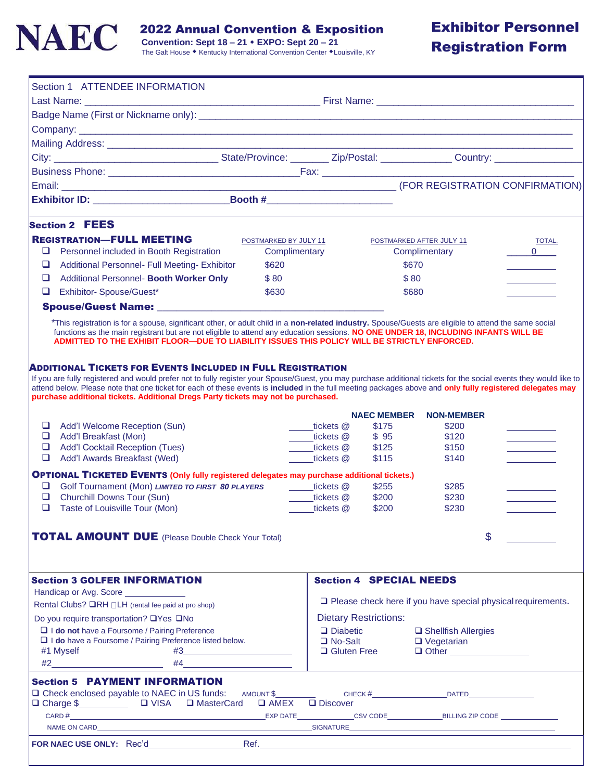

2022 Annual Convention & Exposition

 **Convention: Sept 18 – 21 EXPO: Sept 20 – 21**

# Exhibitor Personnel Registration Form

| Section 1 ATTENDEE INFORMATION                                                                                                                                                                                                                                                                                                                                                                                                                                                      |                       |                                                                     |                    |                                            |                   |
|-------------------------------------------------------------------------------------------------------------------------------------------------------------------------------------------------------------------------------------------------------------------------------------------------------------------------------------------------------------------------------------------------------------------------------------------------------------------------------------|-----------------------|---------------------------------------------------------------------|--------------------|--------------------------------------------|-------------------|
|                                                                                                                                                                                                                                                                                                                                                                                                                                                                                     |                       |                                                                     |                    |                                            |                   |
|                                                                                                                                                                                                                                                                                                                                                                                                                                                                                     |                       |                                                                     |                    |                                            |                   |
|                                                                                                                                                                                                                                                                                                                                                                                                                                                                                     |                       |                                                                     |                    |                                            |                   |
|                                                                                                                                                                                                                                                                                                                                                                                                                                                                                     |                       |                                                                     |                    |                                            |                   |
|                                                                                                                                                                                                                                                                                                                                                                                                                                                                                     |                       |                                                                     |                    |                                            |                   |
|                                                                                                                                                                                                                                                                                                                                                                                                                                                                                     |                       |                                                                     |                    |                                            |                   |
|                                                                                                                                                                                                                                                                                                                                                                                                                                                                                     |                       |                                                                     |                    |                                            |                   |
|                                                                                                                                                                                                                                                                                                                                                                                                                                                                                     |                       |                                                                     |                    |                                            |                   |
| <b>Section 2 FEES</b>                                                                                                                                                                                                                                                                                                                                                                                                                                                               |                       |                                                                     |                    |                                            |                   |
| <b>REGISTRATION-FULL MEETING</b>                                                                                                                                                                                                                                                                                                                                                                                                                                                    | POSTMARKED BY JULY 11 |                                                                     |                    | POSTMARKED AFTER JULY 11                   | TOTAL.            |
| Personnel included in Booth Registration<br>❏                                                                                                                                                                                                                                                                                                                                                                                                                                       | Complimentary         |                                                                     |                    | Complimentary                              | $0 \qquad \qquad$ |
| $\Box$<br>Additional Personnel- Full Meeting- Exhibitor                                                                                                                                                                                                                                                                                                                                                                                                                             | \$620                 |                                                                     |                    | \$670                                      |                   |
| Additional Personnel- Booth Worker Only<br>□                                                                                                                                                                                                                                                                                                                                                                                                                                        | \$80                  |                                                                     |                    | \$80                                       |                   |
| Exhibitor-Spouse/Guest*<br>□                                                                                                                                                                                                                                                                                                                                                                                                                                                        | \$630                 |                                                                     |                    | \$680                                      |                   |
| Spouse/Guest Name: Spouse/Guest Name:                                                                                                                                                                                                                                                                                                                                                                                                                                               |                       |                                                                     |                    |                                            |                   |
| *This registration is for a spouse, significant other, or adult child in a non-related industry. Spouse/Guests are eligible to attend the same social<br>functions as the main registrant but are not eligible to attend any education sessions. NO ONE UNDER 18, INCLUDING INFANTS WILL BE<br>ADMITTED TO THE EXHIBIT FLOOR-DUE TO LIABILITY ISSUES THIS POLICY WILL BE STRICTLY ENFORCED.                                                                                         |                       |                                                                     |                    |                                            |                   |
| ADDITIONAL TICKETS FOR EVENTS INCLUDED IN FULL REGISTRATION<br>If you are fully registered and would prefer not to fully register your Spouse/Guest, you may purchase additional tickets for the social events they would like to<br>attend below. Please note that one ticket for each of these events is included in the full meeting packages above and only fully registered delegates may<br>purchase additional tickets. Additional Dregs Party tickets may not be purchased. |                       |                                                                     |                    |                                            |                   |
|                                                                                                                                                                                                                                                                                                                                                                                                                                                                                     |                       |                                                                     | <b>NAEC MEMBER</b> | <b>NON-MEMBER</b>                          |                   |
| ❏<br>Add'l Welcome Reception (Sun)                                                                                                                                                                                                                                                                                                                                                                                                                                                  |                       | tickets @                                                           | \$175              | \$200                                      |                   |
| ❏<br>Add'l Breakfast (Mon)                                                                                                                                                                                                                                                                                                                                                                                                                                                          |                       | ____tickets @                                                       | \$95               | \$120                                      |                   |
| $\Box$<br><b>Add'I Cocktail Reception (Tues)</b><br>❏<br>Add'l Awards Breakfast (Wed)                                                                                                                                                                                                                                                                                                                                                                                               |                       | tickets @<br>tickets @                                              | \$125<br>\$115     | \$150<br>\$140                             |                   |
|                                                                                                                                                                                                                                                                                                                                                                                                                                                                                     |                       |                                                                     |                    |                                            |                   |
| <b>OPTIONAL TICKETED EVENTS (Only fully registered delegates may purchase additional tickets.)</b><br>□<br>Golf Tournament (Mon) LIMITED TO FIRST 80 PLAYERS                                                                                                                                                                                                                                                                                                                        |                       | tickets @                                                           | \$255              | \$285                                      |                   |
| ❏<br>Churchill Downs Tour (Sun)                                                                                                                                                                                                                                                                                                                                                                                                                                                     |                       | ____tickets @                                                       | \$200              | \$230                                      |                   |
| ❏<br>Taste of Louisville Tour (Mon)                                                                                                                                                                                                                                                                                                                                                                                                                                                 |                       | tickets @                                                           | \$200              | \$230                                      |                   |
|                                                                                                                                                                                                                                                                                                                                                                                                                                                                                     |                       |                                                                     |                    |                                            |                   |
| <b>TOTAL AMOUNT DUE</b> (Please Double Check Your Total)                                                                                                                                                                                                                                                                                                                                                                                                                            |                       |                                                                     |                    |                                            | $\mathsf{\$}$     |
|                                                                                                                                                                                                                                                                                                                                                                                                                                                                                     |                       |                                                                     |                    |                                            |                   |
| <b>Section 3 GOLFER INFORMATION</b>                                                                                                                                                                                                                                                                                                                                                                                                                                                 |                       |                                                                     |                    | <b>Section 4 SPECIAL NEEDS</b>             |                   |
| Handicap or Avg. Score _____________                                                                                                                                                                                                                                                                                                                                                                                                                                                |                       |                                                                     |                    |                                            |                   |
| Rental Clubs? <b>QRH</b> □LH (rental fee paid at pro shop)                                                                                                                                                                                                                                                                                                                                                                                                                          |                       | $\Box$ Please check here if you have special physical requirements. |                    |                                            |                   |
| Do you require transportation? □Yes □No                                                                                                                                                                                                                                                                                                                                                                                                                                             |                       | <b>Dietary Restrictions:</b>                                        |                    |                                            |                   |
| I I do not have a Foursome / Pairing Preference<br>I I do have a Foursome / Pairing Preference listed below.                                                                                                                                                                                                                                                                                                                                                                        |                       | $\Box$ Diabetic<br>□ No-Salt                                        |                    | □ Shellfish Allergies<br>$\Box$ Vegetarian |                   |
| #1 Myself                                                                                                                                                                                                                                                                                                                                                                                                                                                                           | $\#3$                 | $\Box$ Gluten Free                                                  |                    | $\Box$ Other                               |                   |
| $\#2 \qquad \qquad \overbrace{\qquad \qquad }$                                                                                                                                                                                                                                                                                                                                                                                                                                      | #4                    |                                                                     |                    |                                            |                   |
| <b>Section 5 PAYMENT INFORMATION</b><br>□ Check enclosed payable to NAEC in US funds: AMOUNT \$                                                                                                                                                                                                                                                                                                                                                                                     |                       |                                                                     |                    |                                            |                   |
| □ Charge \$<br>□ Charge \$<br>□ VISA □ MasterCard □ AMEX □ Discover                                                                                                                                                                                                                                                                                                                                                                                                                 |                       |                                                                     |                    |                                            |                   |
|                                                                                                                                                                                                                                                                                                                                                                                                                                                                                     |                       |                                                                     |                    |                                            |                   |
|                                                                                                                                                                                                                                                                                                                                                                                                                                                                                     |                       |                                                                     |                    |                                            |                   |
| FOR NAEC USE ONLY: Rec'd                                                                                                                                                                                                                                                                                                                                                                                                                                                            |                       |                                                                     |                    |                                            |                   |
|                                                                                                                                                                                                                                                                                                                                                                                                                                                                                     |                       |                                                                     |                    |                                            |                   |